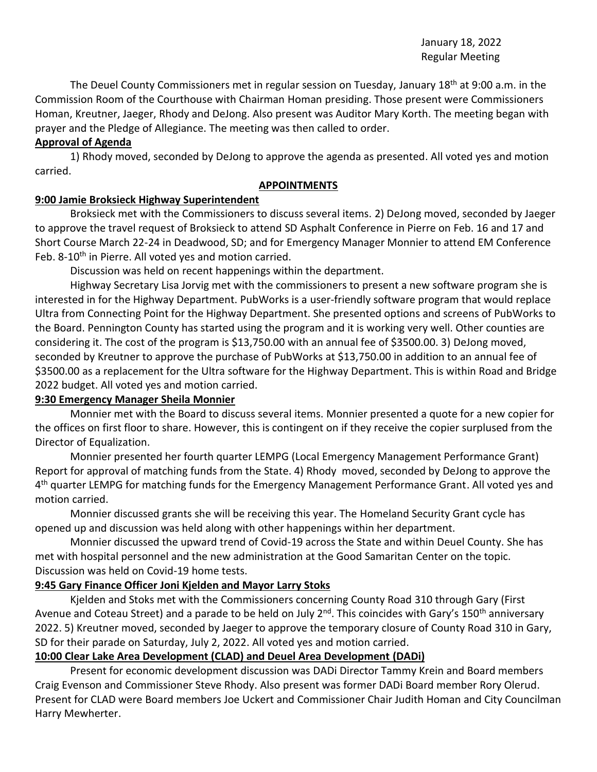January 18, 2022 Regular Meeting

The Deuel County Commissioners met in regular session on Tuesday, January 18<sup>th</sup> at 9:00 a.m. in the Commission Room of the Courthouse with Chairman Homan presiding. Those present were Commissioners Homan, Kreutner, Jaeger, Rhody and DeJong. Also present was Auditor Mary Korth. The meeting began with prayer and the Pledge of Allegiance. The meeting was then called to order.

# **Approval of Agenda**

1) Rhody moved, seconded by DeJong to approve the agenda as presented. All voted yes and motion carried.

### **APPOINTMENTS**

### **9:00 Jamie Broksieck Highway Superintendent**

Broksieck met with the Commissioners to discuss several items. 2) DeJong moved, seconded by Jaeger to approve the travel request of Broksieck to attend SD Asphalt Conference in Pierre on Feb. 16 and 17 and Short Course March 22-24 in Deadwood, SD; and for Emergency Manager Monnier to attend EM Conference Feb. 8-10<sup>th</sup> in Pierre. All voted yes and motion carried.

Discussion was held on recent happenings within the department.

Highway Secretary Lisa Jorvig met with the commissioners to present a new software program she is interested in for the Highway Department. PubWorks is a user-friendly software program that would replace Ultra from Connecting Point for the Highway Department. She presented options and screens of PubWorks to the Board. Pennington County has started using the program and it is working very well. Other counties are considering it. The cost of the program is \$13,750.00 with an annual fee of \$3500.00. 3) DeJong moved, seconded by Kreutner to approve the purchase of PubWorks at \$13,750.00 in addition to an annual fee of \$3500.00 as a replacement for the Ultra software for the Highway Department. This is within Road and Bridge 2022 budget. All voted yes and motion carried.

### **9:30 Emergency Manager Sheila Monnier**

Monnier met with the Board to discuss several items. Monnier presented a quote for a new copier for the offices on first floor to share. However, this is contingent on if they receive the copier surplused from the Director of Equalization.

Monnier presented her fourth quarter LEMPG (Local Emergency Management Performance Grant) Report for approval of matching funds from the State. 4) Rhody moved, seconded by DeJong to approve the 4<sup>th</sup> quarter LEMPG for matching funds for the Emergency Management Performance Grant. All voted yes and motion carried.

Monnier discussed grants she will be receiving this year. The Homeland Security Grant cycle has opened up and discussion was held along with other happenings within her department.

Monnier discussed the upward trend of Covid-19 across the State and within Deuel County. She has met with hospital personnel and the new administration at the Good Samaritan Center on the topic. Discussion was held on Covid-19 home tests.

### **9:45 Gary Finance Officer Joni Kjelden and Mayor Larry Stoks**

Kjelden and Stoks met with the Commissioners concerning County Road 310 through Gary (First Avenue and Coteau Street) and a parade to be held on July 2<sup>nd</sup>. This coincides with Gary's 150<sup>th</sup> anniversary 2022. 5) Kreutner moved, seconded by Jaeger to approve the temporary closure of County Road 310 in Gary, SD for their parade on Saturday, July 2, 2022. All voted yes and motion carried.

# **10:00 Clear Lake Area Development (CLAD) and Deuel Area Development (DADi)**

Present for economic development discussion was DADi Director Tammy Krein and Board members Craig Evenson and Commissioner Steve Rhody. Also present was former DADi Board member Rory Olerud. Present for CLAD were Board members Joe Uckert and Commissioner Chair Judith Homan and City Councilman Harry Mewherter.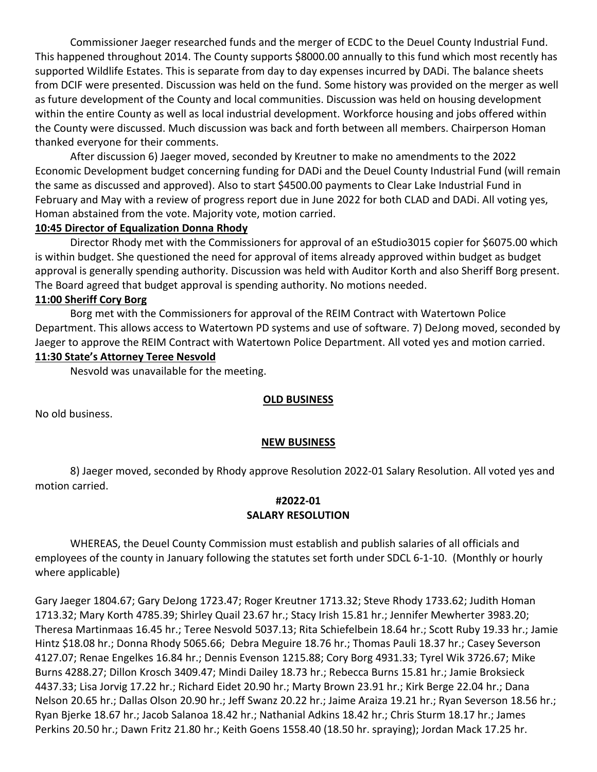Commissioner Jaeger researched funds and the merger of ECDC to the Deuel County Industrial Fund. This happened throughout 2014. The County supports \$8000.00 annually to this fund which most recently has supported Wildlife Estates. This is separate from day to day expenses incurred by DADi. The balance sheets from DCIF were presented. Discussion was held on the fund. Some history was provided on the merger as well as future development of the County and local communities. Discussion was held on housing development within the entire County as well as local industrial development. Workforce housing and jobs offered within the County were discussed. Much discussion was back and forth between all members. Chairperson Homan thanked everyone for their comments.

After discussion 6) Jaeger moved, seconded by Kreutner to make no amendments to the 2022 Economic Development budget concerning funding for DADi and the Deuel County Industrial Fund (will remain the same as discussed and approved). Also to start \$4500.00 payments to Clear Lake Industrial Fund in February and May with a review of progress report due in June 2022 for both CLAD and DADi. All voting yes, Homan abstained from the vote. Majority vote, motion carried.

### **10:45 Director of Equalization Donna Rhody**

Director Rhody met with the Commissioners for approval of an eStudio3015 copier for \$6075.00 which is within budget. She questioned the need for approval of items already approved within budget as budget approval is generally spending authority. Discussion was held with Auditor Korth and also Sheriff Borg present. The Board agreed that budget approval is spending authority. No motions needed.

#### **11:00 Sheriff Cory Borg**

Borg met with the Commissioners for approval of the REIM Contract with Watertown Police Department. This allows access to Watertown PD systems and use of software. 7) DeJong moved, seconded by Jaeger to approve the REIM Contract with Watertown Police Department. All voted yes and motion carried.

# **11:30 State's Attorney Teree Nesvold**

Nesvold was unavailable for the meeting.

### **OLD BUSINESS**

No old business.

#### **NEW BUSINESS**

8) Jaeger moved, seconded by Rhody approve Resolution 2022-01 Salary Resolution. All voted yes and motion carried.

# **#2022-01 SALARY RESOLUTION**

WHEREAS, the Deuel County Commission must establish and publish salaries of all officials and employees of the county in January following the statutes set forth under SDCL 6-1-10. (Monthly or hourly where applicable)

Gary Jaeger 1804.67; Gary DeJong 1723.47; Roger Kreutner 1713.32; Steve Rhody 1733.62; Judith Homan 1713.32; Mary Korth 4785.39; Shirley Quail 23.67 hr.; Stacy Irish 15.81 hr.; Jennifer Mewherter 3983.20; Theresa Martinmaas 16.45 hr.; Teree Nesvold 5037.13; Rita Schiefelbein 18.64 hr.; Scott Ruby 19.33 hr.; Jamie Hintz \$18.08 hr.; Donna Rhody 5065.66; Debra Meguire 18.76 hr.; Thomas Pauli 18.37 hr.; Casey Severson 4127.07; Renae Engelkes 16.84 hr.; Dennis Evenson 1215.88; Cory Borg 4931.33; Tyrel Wik 3726.67; Mike Burns 4288.27; Dillon Krosch 3409.47; Mindi Dailey 18.73 hr.; Rebecca Burns 15.81 hr.; Jamie Broksieck 4437.33; Lisa Jorvig 17.22 hr.; Richard Eidet 20.90 hr.; Marty Brown 23.91 hr.; Kirk Berge 22.04 hr.; Dana Nelson 20.65 hr.; Dallas Olson 20.90 hr.; Jeff Swanz 20.22 hr.; Jaime Araiza 19.21 hr.; Ryan Severson 18.56 hr.; Ryan Bjerke 18.67 hr.; Jacob Salanoa 18.42 hr.; Nathanial Adkins 18.42 hr.; Chris Sturm 18.17 hr.; James Perkins 20.50 hr.; Dawn Fritz 21.80 hr.; Keith Goens 1558.40 (18.50 hr. spraying); Jordan Mack 17.25 hr.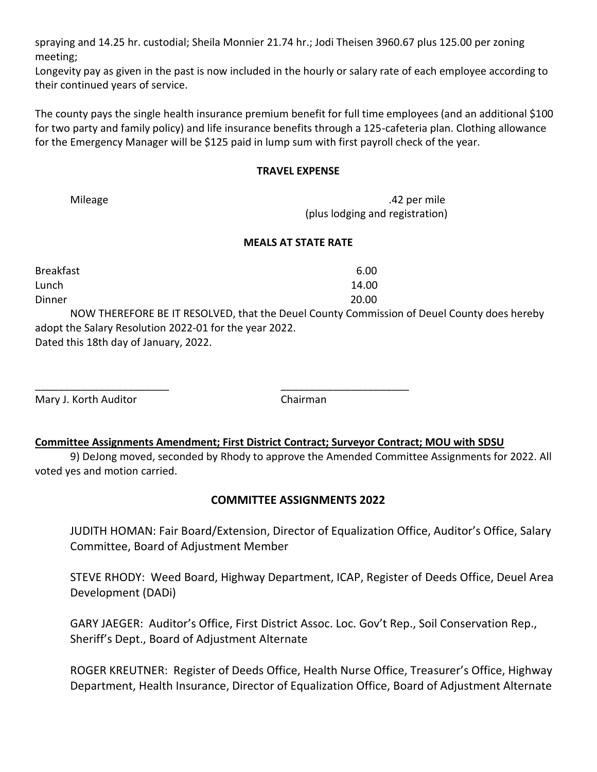spraying and 14.25 hr. custodial; Sheila Monnier 21.74 hr.; Jodi Theisen 3960.67 plus 125.00 per zoning meeting;

Longevity pay as given in the past is now included in the hourly or salary rate of each employee according to their continued years of service.

The county pays the single health insurance premium benefit for full time employees (and an additional \$100 for two party and family policy) and life insurance benefits through a 125-cafeteria plan. Clothing allowance for the Emergency Manager will be \$125 paid in lump sum with first payroll check of the year.

# **TRAVEL EXPENSE**

Mileage 2012 **Mileage** 2012 **Mileage** 2012 **Mileage** 2012 **Mileage** 2012 **Mileage** 2012 **Mileage** 2012 **Mileage** 2012 **Mileage** 2012 **Mileage** 2012 **Mileage** 2012 **Mileage** 2012 **Mileage** 2012 **Mileage** 2012 **Mileage** 2012 (plus lodging and registration)

# **MEALS AT STATE RATE**

| <b>Breakfast</b>                                       | 6.00                                                                                       |
|--------------------------------------------------------|--------------------------------------------------------------------------------------------|
| Lunch                                                  | 14.00                                                                                      |
| Dinner                                                 | 20.00                                                                                      |
|                                                        | NOW THEREFORE BE IT RESOLVED, that the Deuel County Commission of Deuel County does hereby |
| adopt the Salary Resolution 2022-01 for the year 2022. |                                                                                            |
| Dated this 18th day of January, 2022.                  |                                                                                            |

Mary J. Korth Auditor **Chairman** 

# **Committee Assignments Amendment; First District Contract; Surveyor Contract; MOU with SDSU**

\_\_\_\_\_\_\_\_\_\_\_\_\_\_\_\_\_\_\_\_\_\_\_ \_\_\_\_\_\_\_\_\_\_\_\_\_\_\_\_\_\_\_\_\_\_

9) DeJong moved, seconded by Rhody to approve the Amended Committee Assignments for 2022. All voted yes and motion carried.

# **COMMITTEE ASSIGNMENTS 2022**

JUDITH HOMAN: Fair Board/Extension, Director of Equalization Office, Auditor's Office, Salary Committee, Board of Adjustment Member

STEVE RHODY: Weed Board, Highway Department, ICAP, Register of Deeds Office, Deuel Area Development (DADi)

GARY JAEGER: Auditor's Office, First District Assoc. Loc. Gov't Rep., Soil Conservation Rep., Sheriff's Dept., Board of Adjustment Alternate

ROGER KREUTNER: Register of Deeds Office, Health Nurse Office, Treasurer's Office, Highway Department, Health Insurance, Director of Equalization Office, Board of Adjustment Alternate